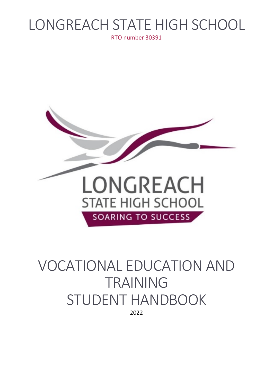# LONGREACH STATE HIGH SCHOOL

RTO number 30391



## VOCATIONAL EDUCATION AND TRAINING STUDENT HANDBOOK 2022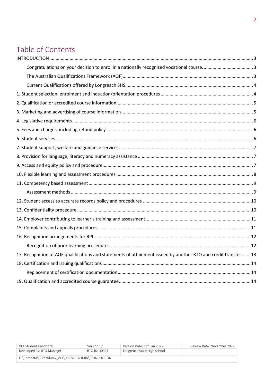## Table of Contents

| 17. Recognition of AQF qualifications and statements of attainment issued by another RTO and credit transfer 13 |  |
|-----------------------------------------------------------------------------------------------------------------|--|
|                                                                                                                 |  |
|                                                                                                                 |  |
|                                                                                                                 |  |

| VFT Student Handbook                                   | Version 1.1   | Version Date: 19th Jan 2022 | Review Date: November 2022 |
|--------------------------------------------------------|---------------|-----------------------------|----------------------------|
| Developed By: RTO Manager                              | RTO ID: 30391 | Longreach State High School |                            |
| G:\Coredata\Curriculum\ VET\002 VET ADMIN\06 INDUCTION |               |                             |                            |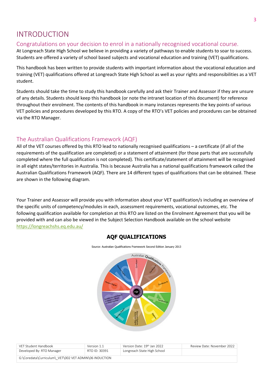#### <span id="page-2-0"></span>INTRODUCTION

#### <span id="page-2-1"></span>Congratulations on your decision to enrol in a nationally recognised vocational course.

At Longreach State High School we believe in providing a variety of pathways to enable students to soar to success. Students are offered a variety of school based subjects and vocational education and training (VET) qualifications.

This handbook has been written to provide students with important information about the vocational education and training (VET) qualifications offered at Longreach State High School as well as your rights and responsibilities as a VET student.

Students should take the time to study this handbook carefully and ask their Trainer and Assessor if they are unsure of any details. Students should keep this handbook (or note the intranet location of this document) for reference throughout their enrolment. The contents of this handbook in many instances represents the key points of various VET policies and procedures developed by this RTO. A copy of the RTO's VET policies and procedures can be obtained via the RTO Manager.

#### <span id="page-2-2"></span>The Australian Qualifications Framework (AQF)

All of the VET courses offered by this RTO lead to nationally recognised qualifications – a certificate (if all of the requirements of the qualification are completed) or a statement of attainment (for those parts that are successfully completed where the full qualification is not completed). This certificate/statement of attainment will be recognised in all eight states/territories in Australia. This is because Australia has a national qualifications framework called the Australian Qualifications Framework (AQF). There are 14 different types of qualifications that can be obtained. These are shown in the following diagram.

Your Trainer and Assessor will provide you with information about your VET qualification/s including an overview of the specific units of competency/modules in each, assessment requirements, vocational outcomes, etc. The following qualification available for completion at this RTO are listed on the Enrolment Agreement that you will be provided with and can also be viewed in the Subject Selection Handbook available on the school website <https://longreachshs.eq.edu.au/>

#### **AQF QUALIFICATIONS**

Australian Qualifications

| Source: Australian Qualifications Framework Second Edition January 2013 |  |
|-------------------------------------------------------------------------|--|
|                                                                         |  |

| VFT Student Handbook                                   | Version 1.1   | Version Date: 19th Jan 2022 | Review Date: November 2022 |  |
|--------------------------------------------------------|---------------|-----------------------------|----------------------------|--|
| Developed By: RTO Manager                              | RTO ID: 30391 | Longreach State High School |                            |  |
| G:\Coredata\Curriculum\ VET\002 VET ADMIN\06 INDUCTION |               |                             |                            |  |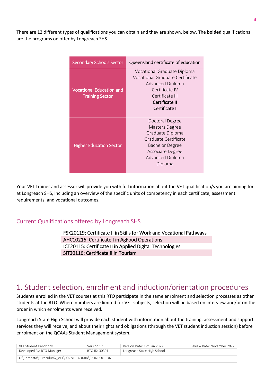There are 12 different types of qualifications you can obtain and they are shown, below. The **bolded** qualifications are the programs on offer by Longreach SHS.

| <b>Secondary Schools Sector</b>                           | Queensland certificate of education                                                                                                                        |
|-----------------------------------------------------------|------------------------------------------------------------------------------------------------------------------------------------------------------------|
| <b>Vocational Education and</b><br><b>Training Sector</b> | Vocational Graduate Diploma<br>Vocational Graduate Certificate<br>Advanced Diploma<br>Certificate IV<br>Certificate III<br>Certificate II<br>Certificate I |
| <b>Higher Education Sector</b>                            | Doctoral Degree<br>Masters Degree<br>Graduate Diploma<br>Graduate Certificate<br><b>Bachelor Degree</b><br>Associate Degree<br>Advanced Diploma<br>Diploma |

Your VET trainer and assessor will provide you with full information about the VET qualification/s you are aiming for at Longreach SHS, including an overview of the specific units of competency in each certificate, assessment requirements, and vocational outcomes.

#### <span id="page-3-0"></span>Current Qualifications offered by Longreach SHS

FSK20119: Certificate II in Skills for Work and Vocational Pathways AHC10216: Certificate I in AgFood Operations ICT20115: Certificate II in Applied Digital Technologies SIT20116: Certificate II in Tourism

#### <span id="page-3-1"></span>1. Student selection, enrolment and induction/orientation procedures

Students enrolled in the VET courses at this RTO participate in the same enrolment and selection processes as other students at the RTO. Where numbers are limited for VET subjects, selection will be based on interview and/or on the order in which enrolments were received.

Longreach State High School will provide each student with information about the training, assessment and support services they will receive, and about their rights and obligations (through the VET student induction session) before enrolment on the QCAAs Student Management system.

| VFT Student Handbook                                   | Version 1.1   | Version Date: 19th Jan 2022 | Review Date: November 2022 |
|--------------------------------------------------------|---------------|-----------------------------|----------------------------|
| Developed By: RTO Manager                              | RTO ID: 30391 | Longreach State High School |                            |
| G:\Coredata\Curriculum\ VET\002 VET ADMIN\06 INDUCTION |               |                             |                            |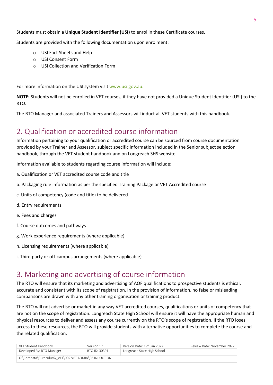Students must obtain a **Unique Student Identifier (USI)** to enrol in these Certificate courses.

Students are provided with the following documentation upon enrolment:

- o USI Fact Sheets and Help
- o USI Consent Form
- o USI Collection and Verification Form

For more information on the USI system visi[t www.usi.gov.au.](file://EQFCW2112001/Data/Coredata/Curriculum/_VET/002%20VET%20ADMIN/06%20INDUCTION/www.usi.gov.au.%20)

**NOTE:** Students will not be enrolled in VET courses, if they have not provided a Unique Student Identifier (USI) to the RTO.

The RTO Manager and associated Trainers and Assessors will induct all VET students with this handbook.

#### <span id="page-4-0"></span>2. Qualification or accredited course information

Information pertaining to your qualification or accredited course can be sourced from course documentation provided by your Trainer and Assessor, subject specific information included in the Senior subject selection handbook, through the VET student handbook and on Longreach SHS website.

Information available to students regarding course information will include:

- a. Qualification or VET accredited course code and title
- b. Packaging rule information as per the specified Training Package or VET Accredited course
- c. Units of competency (code and title) to be delivered
- d. Entry requirements
- e. Fees and charges
- f. Course outcomes and pathways
- g. Work experience requirements (where applicable)
- h. Licensing requirements (where applicable)
- i. Third party or off-campus arrangements (where applicable)

#### <span id="page-4-1"></span>3. Marketing and advertising of course information

The RTO will ensure that its marketing and advertising of AQF qualifications to prospective students is ethical, accurate and consistent with its scope of registration. In the provision of information, no false or misleading comparisons are drawn with any other training organisation or training product.

The RTO will not advertise or market in any way VET accredited courses, qualifications or units of competency that are not on the scope of registration. Longreach State High School will ensure it will have the appropriate human and physical resources to deliver and assess any course currently on the RTO's scope of registration. If the RTO loses access to these resources, the RTO will provide students with alternative opportunities to complete the course and the related qualification.

| VFT Student Handbook                                   | Version 1.1   | Version Date: 19th Jan 2022 | Review Date: November 2022 |
|--------------------------------------------------------|---------------|-----------------------------|----------------------------|
| Developed By: RTO Manager                              | RTO ID: 30391 | Longreach State High School |                            |
| G:\Coredata\Curriculum\ VET\002 VET ADMIN\06 INDUCTION |               |                             |                            |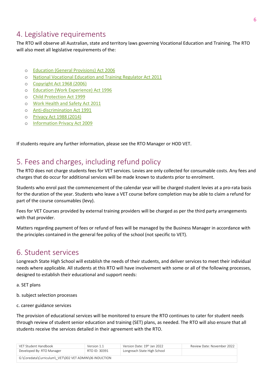### <span id="page-5-0"></span>4. Legislative requirements

The RTO will observe all Australian, state and territory laws governing Vocational Education and Training. The RTO will also meet all legislative requirements of the:

- o [Education \(General Provisions\) Act 2006](https://www.legislation.qld.gov.au/browse/inforce)
- o [National Vocational Education and Training Regulator Act 2011](http://www.comlaw.gov.au/Details/C2014C00623/77524942-2969-4aab-bdce-529b95ebb2f9)
- o [Copyright Act 1968 \(2006\)](http://www.comlaw.gov.au/Details/C2014C00291/394cbe1c-c423-4f21-8cb8-3272a064aab4)
- o [Education \(Work Experience\) Act 1996](https://www.legislation.qld.gov.au/browse/inforce)
- o [Child Protection Act 1999](https://www.legislation.qld.gov.au/browse/inforce)
- o [Work Health and Safety Act 2011](https://www.legislation.qld.gov.au/browse/inforce)
- o [Anti-discrimination Act 1991](https://www.legislation.qld.gov.au/browse/inforce)
- o [Privacy Act 1988 \(2014\)](http://www.comlaw.gov.au/Details/C2014C00757/9f9e7235-b12a-42f5-a77f-3aeb9d5b1736)
- o [Information Privacy Act 2009](https://www.legislation.qld.gov.au/browse/inforce)

If students require any further information, please see the RTO Manager or HOD VET.

#### <span id="page-5-1"></span>5. Fees and charges, including refund policy

The RTO does not charge students fees for VET services. Levies are only collected for consumable costs. Any fees and charges that do occur for additional services will be made known to students prior to enrolment.

Students who enrol past the commencement of the calendar year will be charged student levies at a pro-rata basis for the duration of the year. Students who leave a VET course before completion may be able to claim a refund for part of the course consumables (levy).

Fees for VET Courses provided by external training providers will be charged as per the third party arrangements with that provider.

Matters regarding payment of fees or refund of fees will be managed by the Business Manager in accordance with the principles contained in the general fee policy of the school (not specific to VET).

#### <span id="page-5-2"></span>6. Student services

Longreach State High School will establish the needs of their students, and deliver services to meet their individual needs where applicable. All students at this RTO will have involvement with some or all of the following processes, designed to establish their educational and support needs:

- a. SET plans
- b. subject selection processes
- c. career guidance services

The provision of educational services will be monitored to ensure the RTO continues to cater for student needs through review of student senior education and training (SET) plans, as needed. The RTO will also ensure that all students receive the services detailed in their agreement with the RTO.

| VFT Student Handbook                                   | Version 1.1   | Version Date: 19 <sup>th</sup> Jan 2022 | Review Date: November 2022 |
|--------------------------------------------------------|---------------|-----------------------------------------|----------------------------|
| Developed By: RTO Manager                              | RTO ID: 30391 | Longreach State High School             |                            |
| G:\Coredata\Curriculum\ VET\002 VET ADMIN\06 INDUCTION |               |                                         |                            |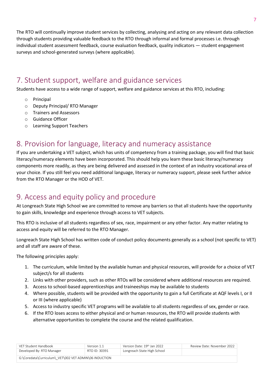The RTO will continually improve student services by collecting, analysing and acting on any relevant data collection through students providing valuable feedback to the RTO through informal and formal processes i.e. through individual student assessment feedback, course evaluation feedback, quality indicators — student engagement surveys and school-generated surveys (where applicable).

### <span id="page-6-0"></span>7. Student support, welfare and guidance services

Students have access to a wide range of support, welfare and guidance services at this RTO, including:

- o Principal
- o Deputy Principal/ RTO Manager
- o Trainers and Assessors
- o Guidance Officer
- o Learning Support Teachers

#### <span id="page-6-1"></span>8. Provision for language, literacy and numeracy assistance

If you are undertaking a VET subject, which has units of competency from a training package, you will find that basic literacy/numeracy elements have been incorporated. This should help you learn these basic literacy/numeracy components more readily, as they are being delivered and assessed in the context of an industry vocational area of your choice. If you still feel you need additional language, literacy or numeracy support, please seek further advice from the RTO Manager or the HOD of VET.

## <span id="page-6-2"></span>9. Access and equity policy and procedure

At Longreach State High School we are committed to remove any barriers so that all students have the opportunity to gain skills, knowledge and experience through access to VET subjects.

This RTO is inclusive of all students regardless of sex, race, impairment or any other factor. Any matter relating to access and equity will be referred to the RTO Manager.

Longreach State High School has written code of conduct policy documents generally as a school (not specific to VET) and all staff are aware of these.

The following principles apply:

- 1. The curriculum, while limited by the available human and physical resources, will provide for a choice of VET subject/s for all students
- 2. Links with other providers, such as other RTOs will be considered where additional resources are required.
- 3. Access to school-based apprenticeships and traineeships may be available to students
- 4. Where possible, students will be provided with the opportunity to gain a full Certificate at AQF levels I, or II or III (where applicable)
- 5. Access to industry specific VET programs will be available to all students regardless of sex, gender or race.
- 6. If the RTO loses access to either physical and or human resources, the RTO will provide students with alternative opportunities to complete the course and the related qualification.

| VFT Student Handbook                                   | Version 1.1   | Version Date: 19th Jan 2022 | Review Date: November 2022 |
|--------------------------------------------------------|---------------|-----------------------------|----------------------------|
| Developed By: RTO Manager                              | RTO ID: 30391 | Longreach State High School |                            |
| G:\Coredata\Curriculum\ VET\002 VET ADMIN\06 INDUCTION |               |                             |                            |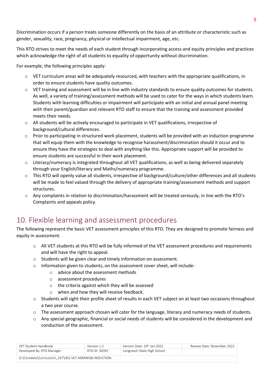Discrimination occurs if a person treats someone differently on the basis of an attribute or characteristic such as gender, sexuality, race, pregnancy, physical or intellectual impairment, age, etc.

This RTO strives to meet the needs of each student through incorporating access and equity principles and practices which acknowledge the right of all students to equality of opportunity without discrimination.

For example, the following principles apply:

- $\circ$  VET curriculum areas will be adequately resourced, with teachers with the appropriate qualifications, in order to ensure students have quality outcomes.
- $\circ$  VET training and assessment will be in line with industry standards to ensure quality outcomes for students. As well, a variety of training/assessment methods will be used to cater for the ways in which students learn. Students with learning difficulties or impairment will participate with an initial and annual panel meeting with their parent/guardian and relevant RTO staff to ensure that the training and assessment provided meets their needs.
- o All students will be actively encouraged to participate in VET qualifications, irrespective of background/cultural differences.
- o Prior to participating in structured work placement, students will be provided with an induction programme that will equip them with the knowledge to recognise harassment/discrimination should it occur and to ensure they have the strategies to deal with anything like this. Appropriate support will be provided to ensure students are successful in their work placement.
- o Literacy/numeracy is integrated throughout all VET qualifications, as well as being delivered separately through your English/literacy and Maths/numeracy programme.
- o This RTO will openly value all students, irrespective of background/culture/other differences and all students will be made to feel valued through the delivery of appropriate training/assessment methods and support structures.
- o Any complaints in relation to discrimination/harassment will be treated seriously, in line with the RTO's Complaints and appeals policy.

## <span id="page-7-0"></span>10. Flexible learning and assessment procedures

The following represent the basic VET assessment principles of this RTO. They are designed to promote fairness and equity in assessment.

- o All VET students at this RTO will be fully informed of the VET assessment procedures and requirements and will have the right to appeal.
- o Students will be given clear and timely information on assessment.
- o Information given to students, on the assessment cover sheet, will include:
	- o advice about the assessment methods
	- o assessment procedures
	- o the criteria against which they will be assessed
	- o when and how they will receive feedback.
- o Students will sight their profile sheet of results in each VET subject on at least two occasions throughout a two year course.
- o The assessment approach chosen will cater for the language, literacy and numeracy needs of students.
- $\circ$  Any special geographic, financial or social needs of students will be considered in the development and conduction of the assessment.

| VFT Student Handbook                                   | Version 1.1   | Version Date: 19th Jan 2022 | Review Date: November 2022 |
|--------------------------------------------------------|---------------|-----------------------------|----------------------------|
| Developed By: RTO Manager                              | RTO ID: 30391 | Longreach State High School |                            |
| G:\Coredata\Curriculum\ VET\002 VET ADMIN\06 INDUCTION |               |                             |                            |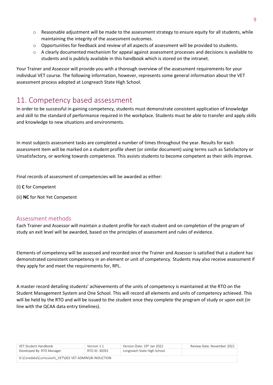- o Reasonable adjustment will be made to the assessment strategy to ensure equity for all students, while maintaining the integrity of the assessment outcomes.
- o Opportunities for feedback and review of all aspects of assessment will be provided to students.
- $\circ$  A clearly documented mechanism for appeal against assessment processes and decisions is available to students and is publicly available in this handbook which is stored on the intranet.

Your Trainer and Assessor will provide you with a thorough overview of the assessment requirements for your individual VET course. The following information, however, represents some general information about the VET assessment process adopted at Longreach State High School.

#### <span id="page-8-0"></span>11. Competency based assessment

In order to be successful in gaining competency, students must demonstrate consistent application of knowledge and skill to the standard of performance required in the workplace. Students must be able to transfer and apply skills and knowledge to new situations and environments.

In most subjects assessment tasks are completed a number of times throughout the year. Results for each assessment item will be marked on a student profile sheet (or similar document) using terms such as Satisfactory or Unsatisfactory, or working towards competence. This assists students to become competent as their skills improve.

Final records of assessment of competencies will be awarded as either:

(i) **C** for Competent

(ii) **NC** for Not Yet Competent

#### <span id="page-8-1"></span>Assessment methods

Each Trainer and Assessor will maintain a student profile for each student and on completion of the program of study an exit level will be awarded, based on the principles of assessment and rules of evidence.

Elements of competency will be assessed and recorded once the Trainer and Assessor is satisfied that a student has demonstrated consistent competency in an element or unit of competency. Students may also receive assessment if they apply for and meet the requirements for, RPL.

A master record detailing students' achievements of the units of competency is maintained at the RTO on the Student Management System and One School. This will record all elements and units of competency achieved. This will be held by the RTO and will be issued to the student once they complete the program of study or upon exit (in line with the QCAA data entry timelines).

| VFT Student Handbook                                   | Version 1.1   | Version Date: 19th Jan 2022 | Review Date: November 2022 |
|--------------------------------------------------------|---------------|-----------------------------|----------------------------|
| Developed By: RTO Manager                              | RTO ID: 30391 | Longreach State High School |                            |
| G:\Coredata\Curriculum\ VET\002 VET ADMIN\06 INDUCTION |               |                             |                            |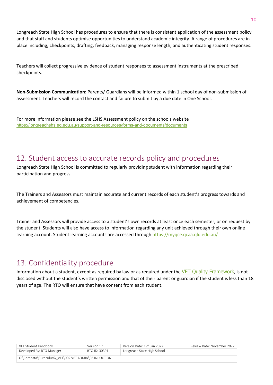Longreach State High School has procedures to ensure that there is consistent application of the assessment policy and that staff and students optimise opportunities to understand academic integrity. A range of procedures are in place including; checkpoints, drafting, feedback, managing response length, and authenticating student responses.

Teachers will collect progressive evidence of student responses to assessment instruments at the prescribed checkpoints.

**Non-Submission Communication:** Parents/ Guardians will be informed within 1 school day of non-submission of assessment. Teachers will record the contact and failure to submit by a due date in One School.

For more information please see the LSHS Assessment policy on the schools website <https://longreachshs.eq.edu.au/support-and-resources/forms-and-documents/documents>

#### <span id="page-9-0"></span>12. Student access to accurate records policy and procedures

Longreach State High School is committed to regularly providing student with information regarding their participation and progress.

The Trainers and Assessors must maintain accurate and current records of each student's progress towards and achievement of competencies.

Trainer and Assessors will provide access to a student's own records at least once each semester, or on request by the student. Students will also have access to information regarding any unit achieved through their own online learning account. Student learning accounts are accessed throug[h https://myqce.qcaa.qld.edu.au/](https://myqce.qcaa.qld.edu.au/)

#### <span id="page-9-1"></span>13. Confidentiality procedure

Information about a student, except as required by law or as required under the [VET Quality Framework](https://www.asqa.gov.au/about/asqa/key-legislation/vet-quality-framework), is not disclosed without the student's written permission and that of their parent or guardian if the student is less than 18 years of age. The RTO will ensure that have consent from each student.

| VFT Student Handbook                                   | Version 1.1   | Version Date: 19th Jan 2022 | Review Date: November 2022 |
|--------------------------------------------------------|---------------|-----------------------------|----------------------------|
| Developed By: RTO Manager                              | RTO ID: 30391 | Longreach State High School |                            |
| G:\Coredata\Curriculum\ VET\002 VET ADMIN\06 INDUCTION |               |                             |                            |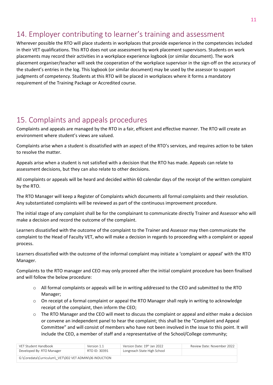## <span id="page-10-0"></span>14. Employer contributing to learner's training and assessment

Wherever possible the RTO will place students in workplaces that provide experience in the competencies included in their VET qualifications. This RTO does not use assessment by work placement supervisors. Students on work placements may record their activities in a workplace experience logbook (or similar document). The work placement organiser/teacher will seek the cooperation of the workplace supervisor in the sign-off on the accuracy of the student's entries in the log. This logbook (or similar document) may be used by the assessor to support judgments of competency. Students at this RTO will be placed in workplaces where it forms a mandatory requirement of the Training Package or Accredited course.

#### <span id="page-10-1"></span>15. Complaints and appeals procedures

Complaints and appeals are managed by the RTO in a fair, efficient and effective manner. The RTO will create an environment where student's views are valued.

Complaints arise when a student is dissatisfied with an aspect of the RTO's services, and requires action to be taken to resolve the matter.

Appeals arise when a student is not satisfied with a decision that the RTO has made. Appeals can relate to assessment decisions, but they can also relate to other decisions.

All complaints or appeals will be heard and decided within 60 calendar days of the receipt of the written complaint by the RTO.

The RTO Manager will keep a Register of Complaints which documents all formal complaints and their resolution. Any substantiated complaints will be reviewed as part of the continuous improvement procedure.

The initial stage of any complaint shall be for the complainant to communicate directly Trainer and Assessor who will make a decision and record the outcome of the complaint.

Learners dissatisfied with the outcome of the complaint to the Trainer and Assessor may then communicate the complaint to the Head of Faculty VET, who will make a decision in regards to proceeding with a complaint or appeal process.

Learners dissatisfied with the outcome of the informal complaint may initiate a 'complaint or appeal' with the RTO Manager.

Complaints to the RTO manager and CEO may only proceed after the initial complaint procedure has been finalised and will follow the below procedure:

- $\circ$  All formal complaints or appeals will be in writing addressed to the CEO and submitted to the RTO Manager;
- $\circ$  On receipt of a formal complaint or appeal the RTO Manager shall reply in writing to acknowledge receipt of the complaint, then inform the CEO;
- $\circ$  The RTO Manager and the CEO will meet to discuss the complaint or appeal and either make a decision or convene an independent panel to hear the complaint; this shall be the "Complaint and Appeal Committee" and will consist of members who have not been involved in the issue to this point. It will include the CEO, a member of staff and a representative of the School/College community;

| VFT Student Handbook                                   | Version 1.1   | Version Date: 19 <sup>th</sup> Jan 2022 | Review Date: November 2022 |  |
|--------------------------------------------------------|---------------|-----------------------------------------|----------------------------|--|
| Developed By: RTO Manager                              | RTO ID: 30391 | Longreach State High School             |                            |  |
| G:\Coredata\Curriculum\ VET\002 VET ADMIN\06 INDUCTION |               |                                         |                            |  |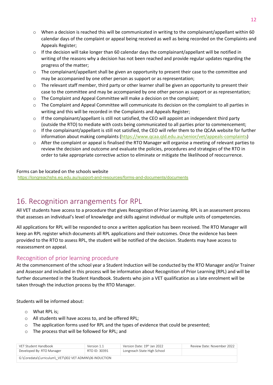- o When a decision is reached this will be communicated in writing to the complainant/appellant within 60 calendar days of the complaint or appeal being received as well as being recorded on the Complaints and Appeals Register;
- $\circ$  If the decision will take longer than 60 calendar days the complainant/appellant will be notified in writing of the reasons why a decision has not been reached and provide regular updates regarding the progress of the matter;
- o The complainant/appellant shall be given an opportunity to present their case to the committee and may be accompanied by one other person as support or as representation;
- o The relevant staff member, third party or other learner shall be given an opportunity to present their case to the committee and may be accompanied by one other person as support or as representation;
- $\circ$  The Complaint and Appeal Committee will make a decision on the complaint;
- o The Complaint and Appeal Committee will communicate its decision on the complaint to all parties in writing and this will be recorded in the Complaints and Appeals Register;
- $\circ$  If the complainant/appellant is still not satisfied, the CEO will appoint an independent third party (outside the RTO) to mediate with costs being communicated to all parties prior to commencement;
- $\circ$  If the complainant/appellant is still not satisfied, the CEO will refer them to the QCAA website for further information about making complaints [\(https://www.qcaa.qld.edu.au/senior/vet/appeals-complaints\)](https://www.qcaa.qld.edu.au/senior/vet/appeals-complaints)
- $\circ$  After the complaint or appeal is finalised the RTO Manager will organise a meeting of relevant parties to review the decision and outcome and evaluate the policies, procedures and strategies of the RTO in order to take appropriate corrective action to eliminate or mitigate the likelihood of reoccurrence.

#### Forms can be located on the schools website

<https://longreachshs.eq.edu.au/support-and-resources/forms-and-documents/documents>

## <span id="page-11-0"></span>16. Recognition arrangements for RPL

All VET students have access to a procedure that gives Recognition of Prior Learning. RPL is an assessment process that assesses an individual's level of knowledge and skills against individual or multiple units of competencies.

All applications for RPL will be responded to once a written application has been received. The RTO Manager will keep an RPL register which documents all RPL applications and their outcomes. Once the evidence has been provided to the RTO to assess RPL, the student will be notified of the decision. Students may have access to reassessment on appeal.

#### <span id="page-11-1"></span>Recognition of prior learning procedure

At the commencement of the school year a Student Induction will be conducted by the RTO Manager and/or Trainer and Assessor and included in this process will be information about Recognition of Prior Learning (RPL) and will be further documented in the Student Handbook. Students who join a VET qualification as a late enrolment will be taken through the induction process by the RTO Manager.

Students will be informed about:

- o What RPL is;
- o All students will have access to, and be offered RPL;
- $\circ$  The application forms used for RPL and the types of evidence that could be presented;
- o The process that will be followed for RPL; and

| VFT Student Handbook                                   | Version 1.1   | Version Date: 19th Jan 2022 | Review Date: November 2022 |  |
|--------------------------------------------------------|---------------|-----------------------------|----------------------------|--|
| Developed By: RTO Manager                              | RTO ID: 30391 | Longreach State High School |                            |  |
| G:\Coredata\Curriculum\ VET\002 VET ADMIN\06 INDUCTION |               |                             |                            |  |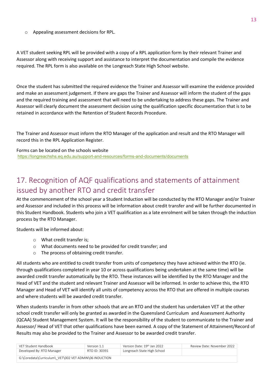o Appealing assessment decisions for RPL.

A VET student seeking RPL will be provided with a copy of a RPL application form by their relevant Trainer and Assessor along with receiving support and assistance to interpret the documentation and compile the evidence required. The RPL form is also available on the Longreach State High School website.

Once the student has submitted the required evidence the Trainer and Assessor will examine the evidence provided and make an assessment judgement. If there are gaps the Trainer and Assessor will inform the student of the gaps and the required training and assessment that will need to be undertaking to address these gaps. The Trainer and Assessor will clearly document the assessment decision using the qualification specific documentation that is to be retained in accordance with the Retention of Student Records Procedure.

The Trainer and Assessor must inform the RTO Manager of the application and result and the RTO Manager will record this in the RPL Application Register.

Forms can be located on the schools website

<https://longreachshs.eq.edu.au/support-and-resources/forms-and-documents/documents>

## <span id="page-12-0"></span>17. Recognition of AQF qualifications and statements of attainment issued by another RTO and credit transfer

At the commencement of the school year a Student Induction will be conducted by the RTO Manager and/or Trainer and Assessor and included in this process will be information about credit transfer and will be further documented in this Student Handbook. Students who join a VET qualification as a late enrolment will be taken through the induction process by the RTO Manager.

Students will be informed about:

- o What credit transfer is;
- o What documents need to be provided for credit transfer; and
- o The process of obtaining credit transfer.

All students who are entitled to credit transfer from units of competency they have achieved within the RTO (ie. through qualifications completed in year 10 or across qualifications being undertaken at the same time) will be awarded credit transfer automatically by the RTO. These instances will be identified by the RTO Manager and the Head of VET and the student and relevant Trainer and Assessor will be informed. In order to achieve this, the RTO Manager and Head of VET will identify all units of competency across the RTO that are offered in multiple courses and where students will be awarded credit transfer.

When students transfer in from other schools that are an RTO and the student has undertaken VET at the other school credit transfer will only be granted as awarded in the Queensland Curriculum and Assessment Authority (QCAA) Student Management System. It will be the responsibility of the student to communicate to the Trainer and Assessor/ Head of VET that other qualifications have been earned. A copy of the Statement of Attainment/Record of Results may also be provided to the Trainer and Assessor to be awarded credit transfer.

| VFT Student Handbook                                   | Version 1.1   | Version Date: 19th Jan 2022 | Review Date: November 2022 |  |
|--------------------------------------------------------|---------------|-----------------------------|----------------------------|--|
| Developed By: RTO Manager                              | RTO ID: 30391 | Longreach State High School |                            |  |
| G:\Coredata\Curriculum\ VET\002 VET ADMIN\06 INDUCTION |               |                             |                            |  |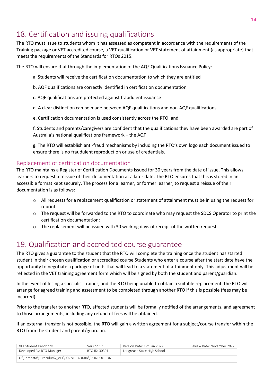## <span id="page-13-0"></span>18. Certification and issuing qualifications

The RTO must issue to students whom it has assessed as competent in accordance with the requirements of the Training package or VET accredited course, a VET qualification or VET statement of attainment (as appropriate) that meets the requirements of the Standards for RTOs 2015.

The RTO will ensure that through the implementation of the AQF Qualifications Issuance Policy:

- a. Students will receive the certification documentation to which they are entitled
- b. AQF qualifications are correctly identified in certification documentation
- c. AQF qualifications are protected against fraudulent issuance
- d. A clear distinction can be made between AQF qualifications and non-AQF qualifications
- e. Certification documentation is used consistently across the RTO, and

f. Students and parents/caregivers are confident that the qualifications they have been awarded are part of Australia's national qualifications framework – the AQF

g. The RTO will establish anti-fraud mechanisms by including the RTO's own logo each document issued to ensure there is no fraudulent reproduction or use of credentials.

#### <span id="page-13-1"></span>Replacement of certification documentation

The RTO maintains a Register of Certification Documents Issued for 30 years from the date of issue. This allows learners to request a reissue of their documentation at a later date. The RTO ensures that this is stored in an accessible format kept securely. The process for a learner, or former learner, to request a reissue of their documentation is as follows:

- o All requests for a replacement qualification or statement of attainment must be in using the request for reprint
- o The request will be forwarded to the RTO to coordinate who may request the SDCS Operator to print the certification documentation;
- $\circ$  The replacement will be issued with 30 working days of receipt of the written request.

#### <span id="page-13-2"></span>19. Qualification and accredited course guarantee

The RTO gives a guarantee to the student that the RTO will complete the training once the student has started student in their chosen qualification or accredited course Students who enter a course after the start date have the opportunity to negotiate a package of units that will lead to a statement of attainment only. This adjustment will be reflected in the VET training agreement form which will be signed by both the student and parent/guardian.

In the event of losing a specialist trainer, and the RTO being unable to obtain a suitable replacement, the RTO will arrange for agreed training and assessment to be completed through another RTO if this is possible (fees may be incurred).

Prior to the transfer to another RTO, affected students will be formally notified of the arrangements, and agreement to those arrangements, including any refund of fees will be obtained.

If an external transfer is not possible, the RTO will gain a written agreement for a subject/course transfer within the RTO from the student and parent/guardian.

| VFT Student Handbook                                   | Version 1.1   | Version Date: 19th Jan 2022 | Review Date: November 2022 |  |
|--------------------------------------------------------|---------------|-----------------------------|----------------------------|--|
| Developed By: RTO Manager                              | RTO ID: 30391 | Longreach State High School |                            |  |
| G:\Coredata\Curriculum\ VET\002 VET ADMIN\06 INDUCTION |               |                             |                            |  |